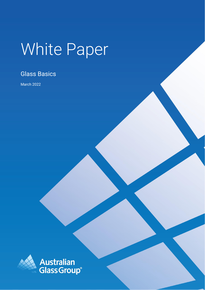# White Paper

## Glass Basics

March 2022

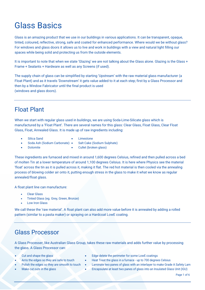## Glass Basics

Glass is an amazing product that we use in our buildings in various applications. It can be transparent, opaque, tinted, coloured, reflective, strong, safe and coated for enhanced performance. Where would we be without glass? For windows and glass doors it allows us to live and work in buildings with a view and natural light filling our spaces while being solid and protecting us from the outside elements.

It is important to note that when we state 'Glazing' we are not talking about the Glass alone. Glazing is the Glass + Frame + Sealants + Hardware as well as any Screens (if used).

The supply chain of glass can be simplified by starting 'Upstream' with the raw material glass manufacturer (a Float Plant) and as it travels 'Downstream' it gets value added to it at each step; first by a Glass Processor and then by a Window Fabricator until the final product is used (windows and glass doors).

## Float Plant

When we start with regular glass used in buildings, we are using Soda-Lime-Silicate glass which is manufactured by a 'Float Plant'. There are several names for this glass: Clear Glass, Float Glass, Clear Float Glass, Float, Annealed Glass. It is made up of raw ingredients including:

- Silica Sand
- Limestone
- Soda Ash (Sodium Carbonate)
- Salt Cake (Sodium Sulphate)
- Dolomite
- Cullet (broken glass)

These ingredients are furnaced and mixed in around 1,600 degrees Celsius, refined and then pulled across a bed of molten Tin at a lower temperature of around 1,100 degrees Celsius. It is here where Physics see the material 'float' across the tin as it is pulled across it, making it flat. The red hot material is then cooled via the annealing process of blowing colder air onto it, putting enough stress in the glass to make it what we know as regular annealed/float glass.

A float plant line can manufacture:

- **Clear Glass**
- Tinted Glass (eg. Grey, Green, Bronze)
- **Low Iron Glass**

We call these the 'raw material'. A float plant can also add more value before it is annealed by adding a rolled pattern (similar to a pasta maker) or spraying on a Hardcoat LowE coating.

## Glass Processor

A Glass Processer, like Australian Glass Group, takes these raw materials and adds further value by processing the glass. A Glass Processor can:

- Cut and shape the glass
- Arris the edges so they are safe to touch
- Polish the edges so they are smooth to touch
- Make cut outs in the glass
- Edge delete the perimeter for some LowE coatings
- Heat Treat the glass in a furnace up to 700 degrees Celsius
- Laminate two panes of glass with an interlayer to make Grade A Safety Lam
	- Encapsulate at least two panes of glass into an Insulated Glass Unit (IGU)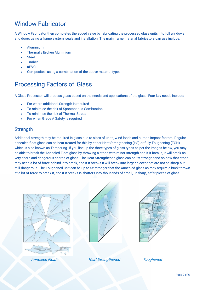## Window Fabricator

A Window Fabricator then completes the added value by fabricating the processed glass units into full windows and doors using a frame system, seals and installation. The main frame material fabricators can use include:

- Aluminium
- Thermally Broken Aluminium
- **Steel**
- **Timber**
- uPVC
- Composites, using a combination of the above material types

## Processing Factors of Glass

A Glass Processor will process glass based on the needs and applications of the glass. Four key needs include:

- For where additional Strength is required
- To minimise the risk of Spontaneous Combustion
- To minimise the risk of Thermal Stress
- For when Grade A Safety is required

#### **Strength**

Additional strength may be required in glass due to sizes of units, wind loads and human impact factors. Regular annealed float glass can be heat treated for this by either Heat Strengthening (HS) or fully Toughening (TGH), which is also known as Tempering. If you line up the three types of glass types as per the images below, you may be able to break the Annealed Float glass by throwing a stone with minor strength and if it breaks, it will break as very sharp and dangerous shards of glass. The Heat Strengthened glass can be 2x stronger and so now that stone may need a lot of force behind it to break, and if it breaks it will break into larger pieces that are not as sharp but still dangerous. The Toughened unit can be up to 5x stronger that the Annealed glass as may require a brick thrown at a lot of force to break it, and if it breaks is shatters into thousands of small, unsharp, safer pieces of glass.







Annealed Float **Heat Strengthened** Toughened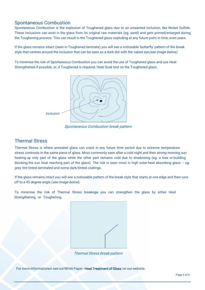#### Spontaneous Combustion

Spontaneous Combustion is the explosion of Toughened glass due to an unwanted inclusion, like Nickel Sulfide. These inclusions can exist in the glass from its original raw materials (eg. sand) and gets primed/enlarged during the Toughening process. This can result in the Toughened glass exploding at any future point in time, even years.

If the glass remains intact (seen in Toughened laminate) you will see a noticeable 'butterfly' pattern of the break style that centres around the inclusion that can be seen as a dark dot with the naked eve*(see image below)*.

To minimise the risk of Spontaneous Combustion you can avoid the use of Toughened glass and use Heat Strengthened if possible, or, if Toughened is required, Heat Soak test on the Toughened glass.



Spontaneous Combustion break pattern

#### Thermal Stress

Thermal Stress is where annealed glass can crack in any future time period due to extreme temperature stress contrasts in the same piece of glass. Most commonly seen after a cold night and then strong morning sun heating up only part of the glass while the other part remains cold due to shadowing (eg. a tree or building blocking the sun heat reaching part of the glass). The risk is seen most in high solar-heat absorbing glass – eg. grey tint tinted laminated and some dark/tinted coatings.

If the glass remains intact you will see a noticeable pattern of the break style that starts at one edge and then runs off to a 45 degree angle (see image below).

To minimise the risk of Thermal Stress breakage you can strengthen the glass by either Heat Strengthening or Toughening.



Thermal Stress break pattern

For more informationon see our White Paper - Heat Treatment of Glass on our website.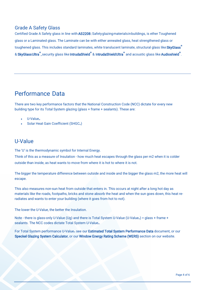#### Grade A Safety Glass

Certified Grade A Safety glass in line with AS2208: Safety glazing materials in buildings, is ether Toughened glass or a Laminated glass. The Laminate can be with either annealed glass, heat strengthened glass or toughened glass. This includes standard laminates, white translucent laminate, structural glass like [SkyGlass](https://agg.com.au/product/agglam-structural-skyglass/)**®** & [SkyGlass Ultra](https://agg.com.au/product/structural-skyglass-ultra/)**®**, security glass like [IntrudaShield](https://agg.com.au/product/agglam-security-intrudashield/)**®** & I[ntrudaShield Ultra](https://agg.com.au/product/agglam-security-intrudashield-ultra/)**®** and acoustic glass like [Audioshield](https://agg.com.au/product/agglam-acoustic/)**®**.

## Performance Data

There are two key performance factors that the National Construction Code (NCC) dictate for every new building type for its Total System glazing (glass + frame + sealants). These are:

- U-Value<sup>w</sup>
- Solar Heat Gain Coefficient (SHGC<sub>w</sub>)

#### U-Value

The 'U' is the thermodynamic symbol for Internal Energy.

Think of this as a measure of Insulation - how much heat escapes through the glass per m2 when it is colder outside than inside, as heat wants to move from where it is hot to where it is not.

The bigger the temperature difference between outside and inside and the bigger the glass m2, the more heat will escape.

This also measures non-sun heat from outside that enters in. This occurs at night after a long hot day as materials like the roads, footpaths, bricks and stone absorb the heat and when the sun goes down, this heat reradiates and wants to enter your building (where it goes from hot to not).

The lower the U-Value, the better the Insulation.

Note - there is glass-only U-Value (Ug) and there is Total System U-Value (U-Value<sub>w</sub>) = glass + frame + sealants. The NCC codes dictate Total System U-Valuew.

For Total System performance U-Value<sub>w</sub> see our [Estimated Total System Performance Data](https://agg.com.au/resources/performance-data/#total-system) document, or our [Speckel Glazing System Calculator](https://agg.com.au/resources/performance-data/#speckel), or our [Window Energy Rating Scheme \(W](https://agg.com.au/resources/performance-data/#wers)ERS) section on our website.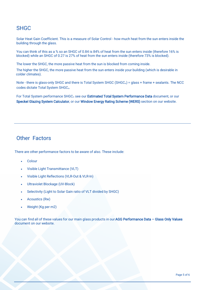## **SHGC**

Solar Heat Gain Coefficient. This is a measure of Solar Control - how much heat from the sun enters inside the building through the glass.

You can think of this as a % so an SHGC of 0.84 is 84% of heat from the sun enters inside (therefore 16% is blocked) while an SHGC of 0.27 is 27% of heat from the sun enters inside (therefore 73% is blocked).

The lower the SHGC, the more passive heat from the sun is blocked from coming inside.

The higher the SHGC, the more passive heat from the sun enters inside your building (which is desirable in colder climates).

Note - there is glass-only SHGC and there is Total System SHGC (SHGC<sub>w</sub>) = glass + frame + sealants. The NCC codes dictate Total System SHGCw.

For Total System performance SHGC<sub>w</sub> see our **Estimated Total System Performance Data** document, or our [Speckel Glazing System Calculator,](https://agg.com.au/resources/performance-data/#speckel) or our [Window Energy Rating Scheme \(WERS\)](https://agg.com.au/resources/performance-data/#wers) section on our website.

### Other Factors

There are other performance factors to be aware of also. These include:

- Colour
- Visible Light Transmittance (VLT)
- Visible Light Reflections (VLR-Out & VLR-In)
- Ultraviolet Blockage (UV-Block)
- Selectivity (Light to Solar Gain ratio of VLT divided by SHGC)
- Acoustics (Rw)
- Weight (Kg per m2)

You can find all of these values for our main glass products in our AGG Performance Data - Glass Only Values **document on our website.**